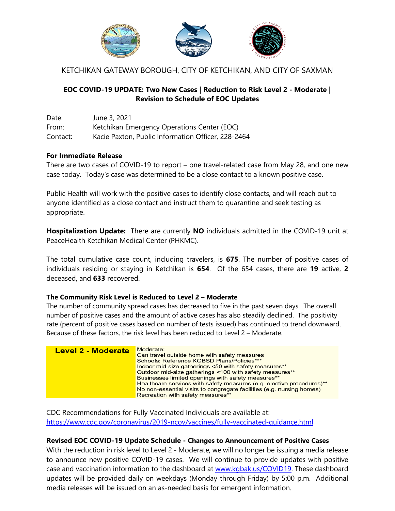

KETCHIKAN GATEWAY BOROUGH, CITY OF KETCHIKAN, AND CITY OF SAXMAN

## **EOC COVID-19 UPDATE: Two New Cases | Reduction to Risk Level 2 - Moderate | Revision to Schedule of EOC Updates**

Date: June 3, 2021 From: Ketchikan Emergency Operations Center (EOC) Contact: Kacie Paxton, Public Information Officer, 228-2464

## **For Immediate Release**

There are two cases of COVID-19 to report – one travel-related case from May 28, and one new case today. Today's case was determined to be a close contact to a known positive case.

Public Health will work with the positive cases to identify close contacts, and will reach out to anyone identified as a close contact and instruct them to quarantine and seek testing as appropriate.

**Hospitalization Update:** There are currently **NO** individuals admitted in the COVID-19 unit at PeaceHealth Ketchikan Medical Center (PHKMC).

The total cumulative case count, including travelers, is **675**. The number of positive cases of individuals residing or staying in Ketchikan is **654**. Of the 654 cases, there are **19** active, **2**  deceased, and **633** recovered.

## **The Community Risk Level is Reduced to Level 2 – Moderate**

The number of community spread cases has decreased to five in the past seven days. The overall number of positive cases and the amount of active cases has also steadily declined. The positivity rate (percent of positive cases based on number of tests issued) has continued to trend downward. Because of these factors, the risk level has been reduced to Level 2 – Moderate.



CDC Recommendations for Fully Vaccinated Individuals are available at: <https://www.cdc.gov/coronavirus/2019-ncov/vaccines/fully-vaccinated-guidance.html>

## **Revised EOC COVID-19 Update Schedule - Changes to Announcement of Positive Cases**

With the reduction in risk level to Level 2 - Moderate, we will no longer be issuing a media release to announce new positive COVID-19 cases. We will continue to provide updates with positive case and vaccination information to the dashboard at [www.kgbak.us/COVID19.](http://www.kgbak.us/COVID19) These dashboard updates will be provided daily on weekdays (Monday through Friday) by 5:00 p.m. Additional media releases will be issued on an as-needed basis for emergent information.